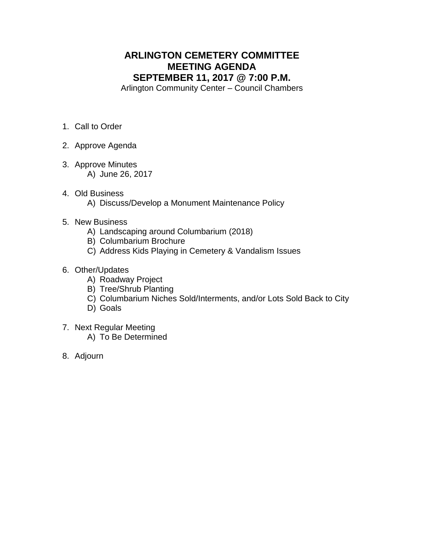## **ARLINGTON CEMETERY COMMITTEE MEETING AGENDA SEPTEMBER 11, 2017 @ 7:00 P.M.**

Arlington Community Center – Council Chambers

- 1. Call to Order
- 2. Approve Agenda
- 3. Approve Minutes A) June 26, 2017
- 4. Old Business A) Discuss/Develop a Monument Maintenance Policy
- 5. New Business
	- A) Landscaping around Columbarium (2018)
	- B) Columbarium Brochure
	- C) Address Kids Playing in Cemetery & Vandalism Issues
- 6. Other/Updates
	- A) Roadway Project
	- B) Tree/Shrub Planting
	- C) Columbarium Niches Sold/Interments, and/or Lots Sold Back to City
	- D) Goals
- 7. Next Regular Meeting
	- A) To Be Determined
- 8. Adjourn